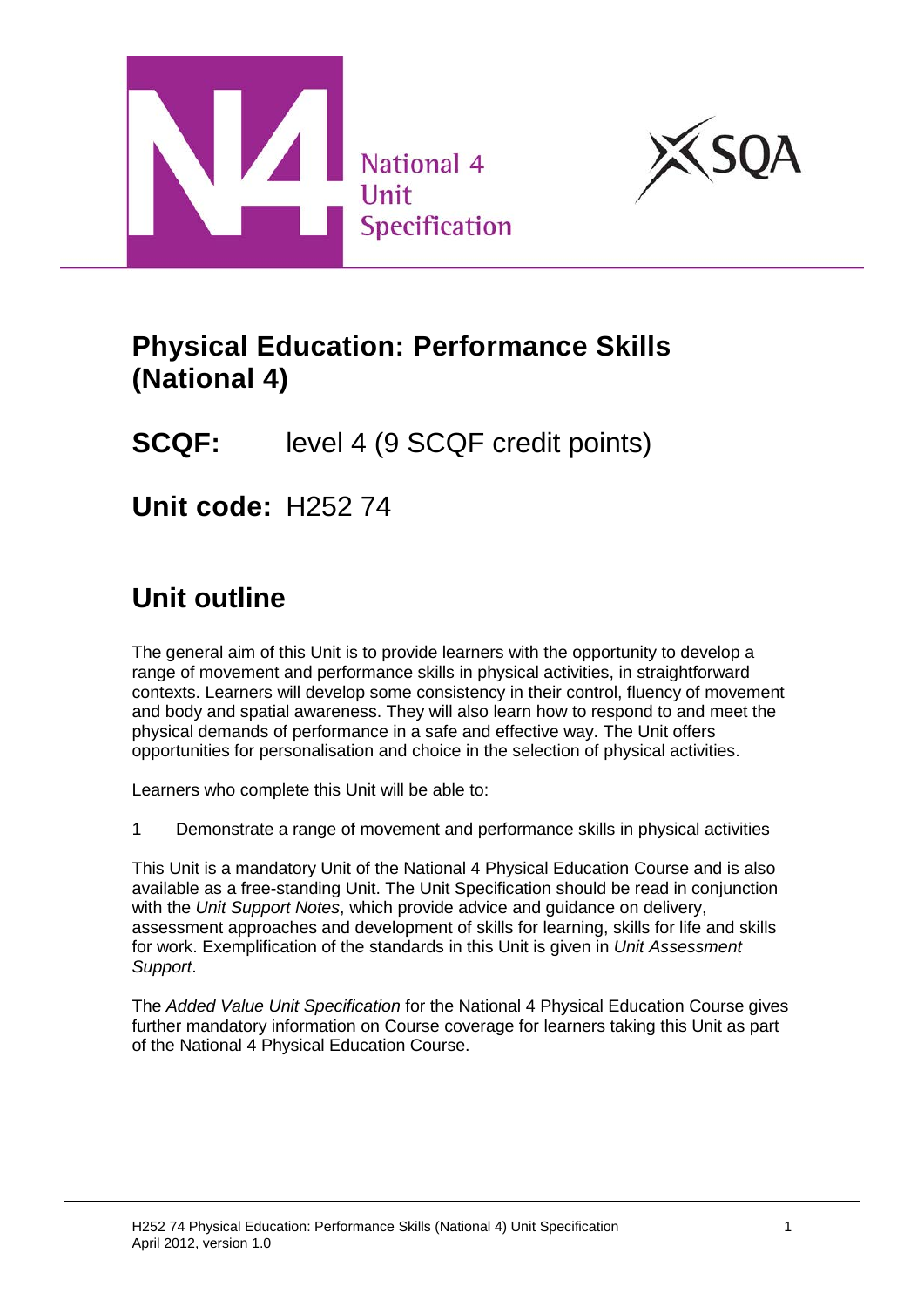



### **Physical Education: Performance Skills (National 4)**

## **SCQF:** level 4 (9 SCQF credit points)

**Unit code:** H252 74

# **Unit outline**

The general aim of this Unit is to provide learners with the opportunity to develop a range of movement and performance skills in physical activities, in straightforward contexts. Learners will develop some consistency in their control, fluency of movement and body and spatial awareness. They will also learn how to respond to and meet the physical demands of performance in a safe and effective way. The Unit offers opportunities for personalisation and choice in the selection of physical activities.

Learners who complete this Unit will be able to:

1 Demonstrate a range of movement and performance skills in physical activities

This Unit is a mandatory Unit of the National 4 Physical Education Course and is also available as a free-standing Unit. The Unit Specification should be read in conjunction with the *Unit Support Notes*, which provide advice and guidance on delivery, assessment approaches and development of skills for learning, skills for life and skills for work. Exemplification of the standards in this Unit is given in *Unit Assessment Support*.

The *Added Value Unit Specification* for the National 4 Physical Education Course gives further mandatory information on Course coverage for learners taking this Unit as part of the National 4 Physical Education Course.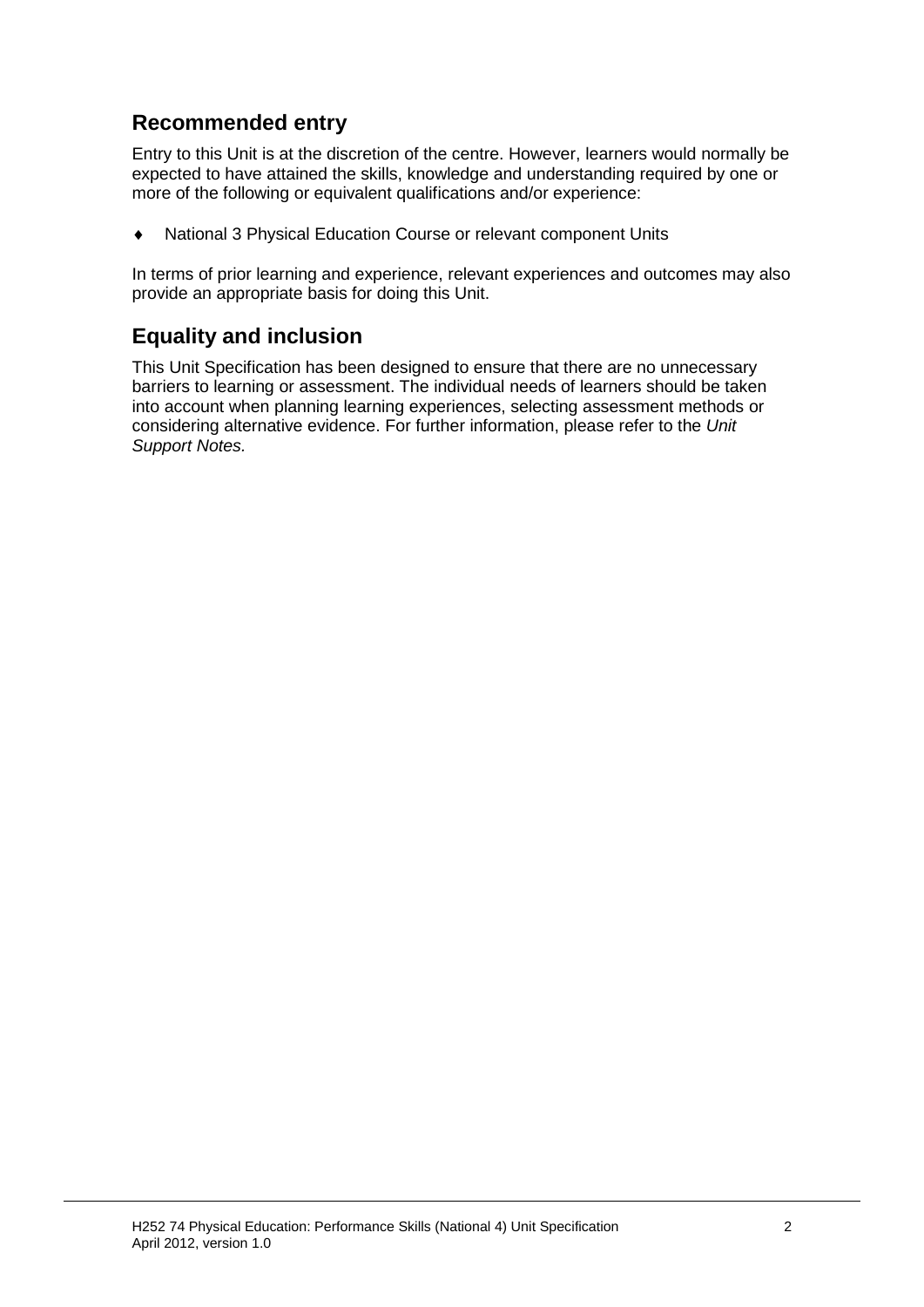### **Recommended entry**

Entry to this Unit is at the discretion of the centre. However, learners would normally be expected to have attained the skills, knowledge and understanding required by one or more of the following or equivalent qualifications and/or experience:

♦ National 3 Physical Education Course or relevant component Units

In terms of prior learning and experience, relevant experiences and outcomes may also provide an appropriate basis for doing this Unit.

#### **Equality and inclusion**

This Unit Specification has been designed to ensure that there are no unnecessary barriers to learning or assessment. The individual needs of learners should be taken into account when planning learning experiences, selecting assessment methods or considering alternative evidence. For further information, please refer to the *Unit Support Notes.*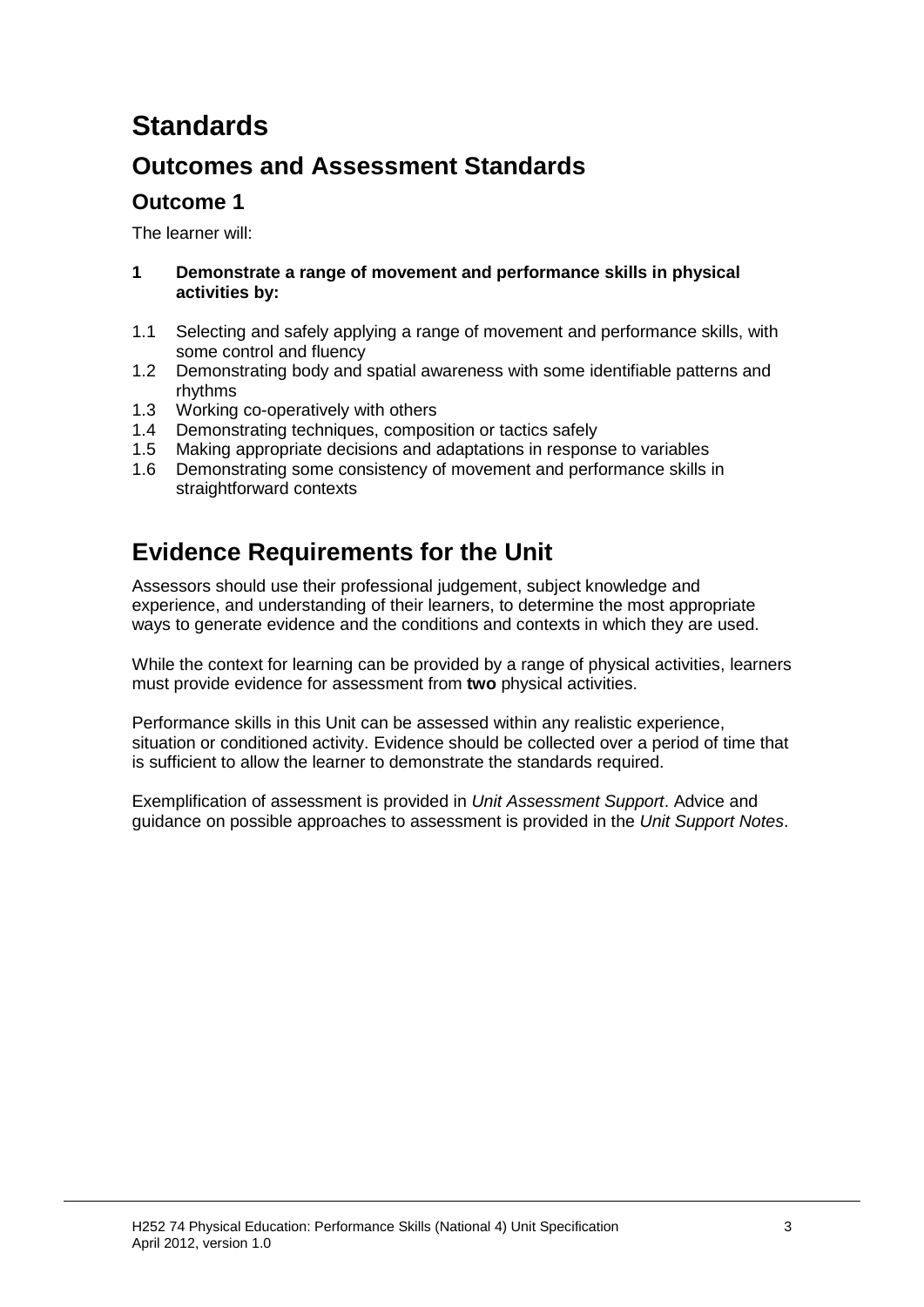# **Standards**

### **Outcomes and Assessment Standards**

### **Outcome 1**

The learner will:

#### **1 Demonstrate a range of movement and performance skills in physical activities by:**

- 1.1 Selecting and safely applying a range of movement and performance skills, with some control and fluency
- 1.2 Demonstrating body and spatial awareness with some identifiable patterns and rhythms
- 1.3 Working co-operatively with others
- 1.4 Demonstrating techniques, composition or tactics safely
- 1.5 Making appropriate decisions and adaptations in response to variables
- 1.6 Demonstrating some consistency of movement and performance skills in straightforward contexts

### **Evidence Requirements for the Unit**

Assessors should use their professional judgement, subject knowledge and experience, and understanding of their learners, to determine the most appropriate ways to generate evidence and the conditions and contexts in which they are used.

While the context for learning can be provided by a range of physical activities, learners must provide evidence for assessment from **two** physical activities.

Performance skills in this Unit can be assessed within any realistic experience, situation or conditioned activity. Evidence should be collected over a period of time that is sufficient to allow the learner to demonstrate the standards required.

Exemplification of assessment is provided in *Unit Assessment Support*. Advice and guidance on possible approaches to assessment is provided in the *Unit Support Notes*.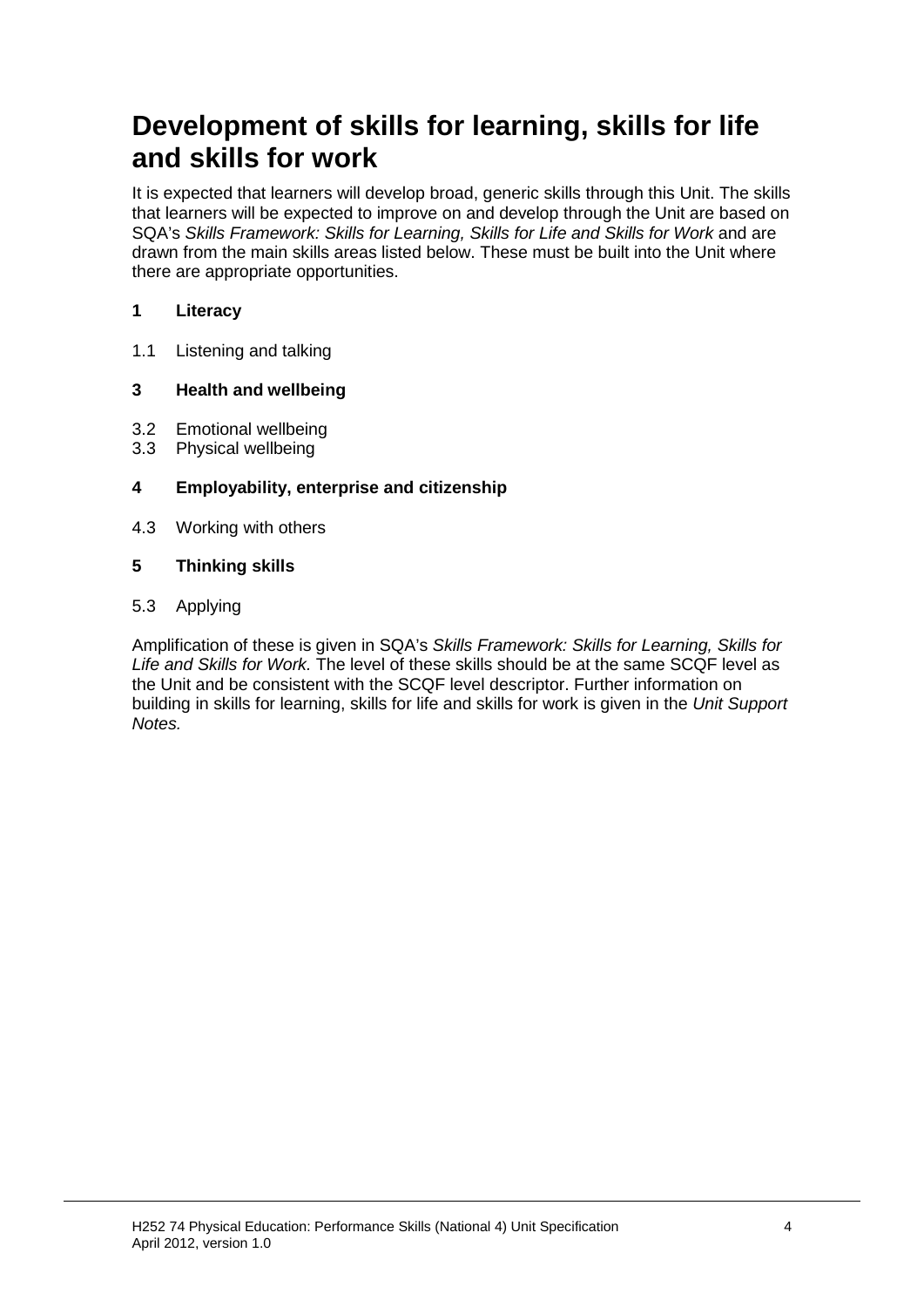## **Development of skills for learning, skills for life and skills for work**

It is expected that learners will develop broad, generic skills through this Unit. The skills that learners will be expected to improve on and develop through the Unit are based on SQA's *Skills Framework: Skills for Learning, Skills for Life and Skills for Work and are* drawn from the main skills areas listed below. These must be built into the Unit where there are appropriate opportunities.

#### **1 Literacy**

1.1 Listening and talking

#### **3 Health and wellbeing**

- 3.2 Emotional wellbeing
- 3.3 Physical wellbeing

#### **4 Employability, enterprise and citizenship**

4.3 Working with others

#### **5 Thinking skills**

#### 5.3 Applying

Amplification of these is given in SQA's *Skills Framework: Skills for Learning, Skills for Life and Skills for Work.* The level of these skills should be at the same SCQF level as the Unit and be consistent with the SCQF level descriptor. Further information on building in skills for learning, skills for life and skills for work is given in the *Unit Support Notes.*